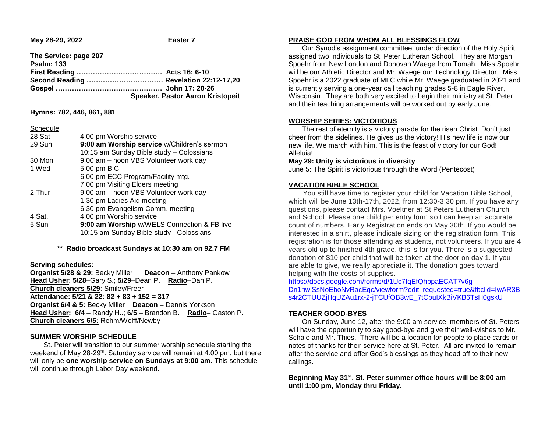**May 28-29, 2022 Easter 7** 

**The Service: page 207 Psalm: 133 First Reading ………………………………. Acts 16: 6-10 Second Reading …………………………… Revelation 22:12-17,20 Gospel ………………………………………. John 17: 20-26 Speaker, Pastor Aaron Kristopeit**

**Hymns: 782, 446, 861, 881**

|--|

| 28 Sat | 4:00 pm Worship service                     |
|--------|---------------------------------------------|
| 29 Sun | 9:00 am Worship service w/Children's sermon |
|        | 10:15 am Sunday Bible study - Colossians    |
| 30 Mon | 9:00 am - noon VBS Volunteer work day       |
| 1 Wed  | 5:00 pm BIC                                 |
|        | 6:00 pm ECC Program/Facility mtg.           |
|        | 7:00 pm Visiting Elders meeting             |
| 2 Thur | 9:00 am - noon VBS Volunteer work day       |
|        | 1:30 pm Ladies Aid meeting                  |
|        | 6:30 pm Evangelism Comm. meeting            |
| 4 Sat. | 4:00 pm Worship service                     |
| 5 Sun  | 9:00 am Worship w/WELS Connection & FB live |
|        | 10:15 am Sunday Bible study - Colossians    |
|        |                                             |

**\*\* Radio broadcast Sundays at 10:30 am on 92.7 FM**

## **Serving schedules:**

**Organist 5/28 & 29:** Becky Miller **Deacon** – Anthony Pankow **Head Usher**: **5/28**–Gary S.; **5/29**–Dean P. **Radio**–Dan P. **Church cleaners 5/29**: Smiley/Freer **Attendance: 5/21 & 22: 82 + 83 + 152 = 317 Organist 6/4 & 5:** Becky Miller **Deacon** – Dennis Yorkson **Head Usher: 6/4** – Randy H..; **6/5** – Brandon B. **Radio**– Gaston P. **Church cleaners 6/5:** Rehm/Wolff/Newby

## **SUMMER WORSHIP SCHEDULE**

 St. Peter will transition to our summer worship schedule starting the weekend of May 28-29<sup>th</sup>. Saturday service will remain at 4:00 pm, but there will only be **one worship service on Sundays at 9:00 am**. This schedule will continue through Labor Day weekend.

### **PRAISE GOD FROM WHOM ALL BLESSINGS FLOW**

 Our Synod's assignment committee, under direction of the Holy Spirit, assigned two individuals to St. Peter Lutheran School. They are Morgan Spoehr from New London and Donovan Waege from Tomah. Miss Spoehr will be our Athletic Director and Mr. Waege our Technology Director. Miss Spoehr is a 2022 graduate of MLC while Mr. Waege graduated in 2021 and is currently serving a one-year call teaching grades 5-8 in Eagle River, Wisconsin. They are both very excited to begin their ministry at St. Peter and their teaching arrangements will be worked out by early June.

# **WORSHIP SERIES: VICTORIOUS**

 The rest of eternity is a victory parade for the risen Christ. Don't just cheer from the sidelines. He gives us the victory! His new life is now our new life. We march with him. This is the feast of victory for our God! Alleluia!

### **May 29: Unity is victorious in diversity**

June 5: The Spirit is victorious through the Word (Pentecost)

## **VACATION BIBLE SCHOOL**

 You still have time to register your child for Vacation Bible School, which will be June 13th-17th, 2022, from 12:30-3:30 pm. If you have any questions, please contact Mrs. Voeltner at St Peters Lutheran Church and School. Please one child per entry form so I can keep an accurate count of numbers. Early Registration ends on May 30th. If you would be interested in a shirt, please indicate sizing on the registration form. This registration is for those attending as students, not volunteers. If you are 4 years old up to finished 4th grade, this is for you. There is a suggested donation of \$10 per child that will be taken at the door on day 1. If you are able to give, we really appreciate it. The donation goes toward helping with the costs of supplies.

[https://docs.google.com/forms/d/1Uc7IqEfQhppaECAT7v6g-](https://docs.google.com/forms/d/1Uc7IqEfQhppaECAT7v6g-Dn1riwlSsNoEboNvRacEqc/viewform?edit_requested=true&fbclid=IwAR3Bs4r2CTUUZjHqUZAu1rx-2-jTCUfOB3wE_7tCpuIXkBiVKB6TsH0gskU)[Dn1riwlSsNoEboNvRacEqc/viewform?edit\\_requested=true&fbclid=IwAR3B](https://docs.google.com/forms/d/1Uc7IqEfQhppaECAT7v6g-Dn1riwlSsNoEboNvRacEqc/viewform?edit_requested=true&fbclid=IwAR3Bs4r2CTUUZjHqUZAu1rx-2-jTCUfOB3wE_7tCpuIXkBiVKB6TsH0gskU) s4r2CTUUZjHqUZAu1rx-2-jTCUfOB3wE\_7tCpuIXkBiVKB6TsH0askU

# **TEACHER GOOD-BYES**

 On Sunday, June 12, after the 9:00 am service, members of St. Peters will have the opportunity to say good-bye and give their well-wishes to Mr. Schalo and Mr. Thies. There will be a location for people to place cards or notes of thanks for their service here at St. Peter. All are invited to remain after the service and offer God's blessings as they head off to their new callings.

**Beginning May 31st, St. Peter summer office hours will be 8:00 am until 1:00 pm, Monday thru Friday.**